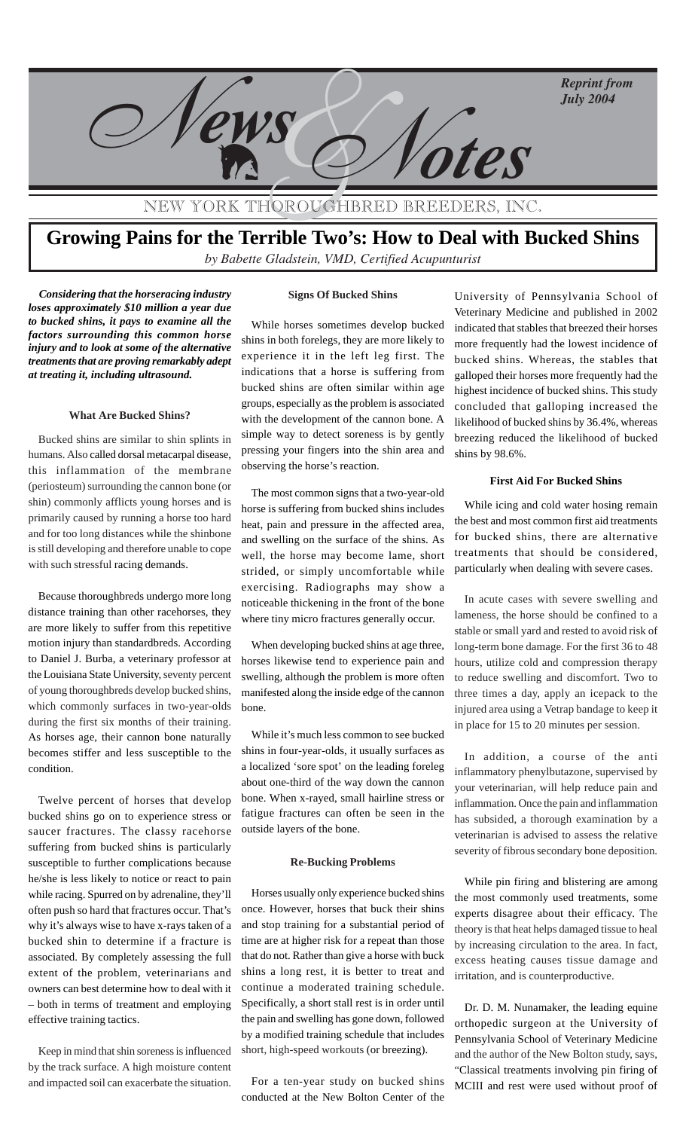

NEW YORK THOROUGHBRED BREEDE

# **Growing Pains for the Terrible Two's: How to Deal with Bucked Shins** by Babette Gladstein, VMD, Certified Acupunturist

*Considering that the horseracing industry loses approximately \$10 million a year due to bucked shins, it pays to examine all the factors surrounding this common horse injury and to look at some of the alternative treatments that are proving remarkably adept at treating it, including ultrasound.*

## **What Are Bucked Shins?**

Bucked shins are similar to shin splints in humans. Also called dorsal metacarpal disease, this inflammation of the membrane (periosteum) surrounding the cannon bone (or shin) commonly afflicts young horses and is primarily caused by running a horse too hard and for too long distances while the shinbone is still developing and therefore unable to cope with such stressful racing demands.

Because thoroughbreds undergo more long distance training than other racehorses, they are more likely to suffer from this repetitive motion injury than standardbreds. According to Daniel J. Burba, a veterinary professor at the Louisiana State University, seventy percent of young thoroughbreds develop bucked shins, which commonly surfaces in two-year-olds during the first six months of their training. As horses age, their cannon bone naturally becomes stiffer and less susceptible to the condition.

Twelve percent of horses that develop bucked shins go on to experience stress or saucer fractures. The classy racehorse suffering from bucked shins is particularly susceptible to further complications because he/she is less likely to notice or react to pain while racing. Spurred on by adrenaline, they'll often push so hard that fractures occur. That's why it's always wise to have x-rays taken of a bucked shin to determine if a fracture is associated. By completely assessing the full extent of the problem, veterinarians and owners can best determine how to deal with it – both in terms of treatment and employing effective training tactics.

Keep in mind that shin soreness is influenced by the track surface. A high moisture content and impacted soil can exacerbate the situation.

#### **Signs Of Bucked Shins**

While horses sometimes develop bucked shins in both forelegs, they are more likely to experience it in the left leg first. The indications that a horse is suffering from bucked shins are often similar within age groups, especially as the problem is associated with the development of the cannon bone. A simple way to detect soreness is by gently pressing your fingers into the shin area and observing the horse's reaction.

The most common signs that a two-year-old horse is suffering from bucked shins includes heat, pain and pressure in the affected area, and swelling on the surface of the shins. As well, the horse may become lame, short strided, or simply uncomfortable while exercising. Radiographs may show a noticeable thickening in the front of the bone where tiny micro fractures generally occur.

When developing bucked shins at age three, horses likewise tend to experience pain and swelling, although the problem is more often manifested along the inside edge of the cannon bone.

While it's much less common to see bucked shins in four-year-olds, it usually surfaces as a localized 'sore spot' on the leading foreleg about one-third of the way down the cannon bone. When x-rayed, small hairline stress or fatigue fractures can often be seen in the outside layers of the bone.

#### **Re-Bucking Problems**

Horses usually only experience bucked shins once. However, horses that buck their shins and stop training for a substantial period of time are at higher risk for a repeat than those that do not. Rather than give a horse with buck shins a long rest, it is better to treat and continue a moderated training schedule. Specifically, a short stall rest is in order until the pain and swelling has gone down, followed by a modified training schedule that includes short, high-speed workouts (or breezing).

For a ten-year study on bucked shins conducted at the New Bolton Center of the

University of Pennsylvania School of Veterinary Medicine and published in 2002 indicated that stables that breezed their horses more frequently had the lowest incidence of bucked shins. Whereas, the stables that galloped their horses more frequently had the highest incidence of bucked shins. This study concluded that galloping increased the likelihood of bucked shins by 36.4%, whereas breezing reduced the likelihood of bucked shins by 98.6%.

### **First Aid For Bucked Shins**

While icing and cold water hosing remain the best and most common first aid treatments for bucked shins, there are alternative treatments that should be considered, particularly when dealing with severe cases.

In acute cases with severe swelling and lameness, the horse should be confined to a stable or small yard and rested to avoid risk of long-term bone damage. For the first 36 to 48 hours, utilize cold and compression therapy to reduce swelling and discomfort. Two to three times a day, apply an icepack to the injured area using a Vetrap bandage to keep it in place for 15 to 20 minutes per session.

In addition, a course of the anti inflammatory phenylbutazone, supervised by your veterinarian, will help reduce pain and inflammation. Once the pain and inflammation has subsided, a thorough examination by a veterinarian is advised to assess the relative severity of fibrous secondary bone deposition.

While pin firing and blistering are among the most commonly used treatments, some experts disagree about their efficacy. The theory is that heat helps damaged tissue to heal by increasing circulation to the area. In fact, excess heating causes tissue damage and irritation, and is counterproductive.

Dr. D. M. Nunamaker, the leading equine orthopedic surgeon at the University of Pennsylvania School of Veterinary Medicine and the author of the New Bolton study, says, "Classical treatments involving pin firing of MCIII and rest were used without proof of